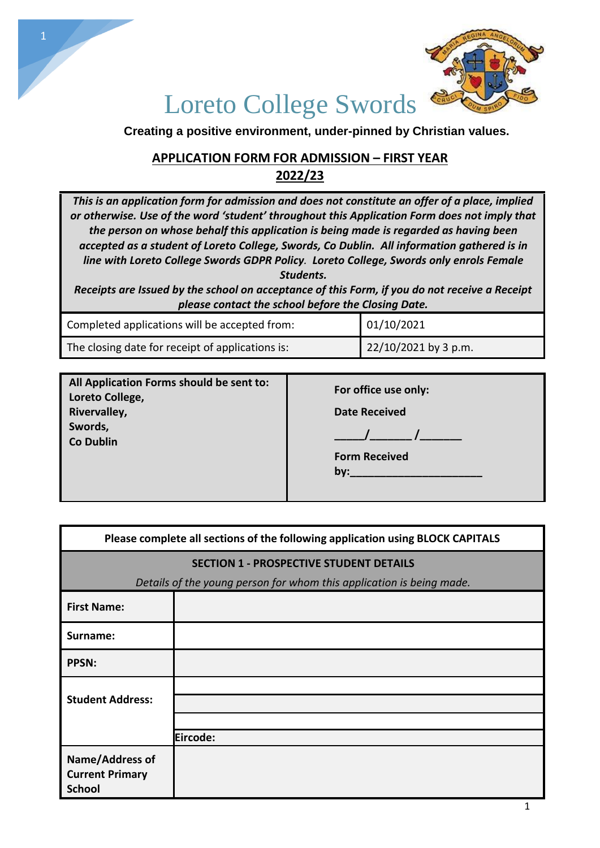

## Loreto [College](https://www.loretoswords.ie/) Swords

**Creating a positive environment, under-pinned by Christian values.**

### **APPLICATION FORM FOR ADMISSION – FIRST YEAR 2022/23**

*This is an application form for admission and does not constitute an offer of a place, implied or otherwise. Use of the word 'student' throughout this Application Form does not imply that the person on whose behalf this application is being made is regarded as having been accepted as a student of Loreto College, Swords, Co Dublin. All information gathered is in line with Loreto College Swords GDPR Policy. Loreto College, Swords only enrols Female Students.*

*Receipts are Issued by the school on acceptance of this Form, if you do not receive a Receipt please contact the school before the Closing Date.*

| Completed applications will be accepted from:    | 01/10/2021           |
|--------------------------------------------------|----------------------|
| The closing date for receipt of applications is: | 22/10/2021 by 3 p.m. |

| All Application Forms should be sent to:<br>Loreto College, | For office use only: |
|-------------------------------------------------------------|----------------------|
| Rivervalley,                                                | <b>Date Received</b> |
| Swords,<br><b>Co Dublin</b>                                 |                      |
|                                                             | <b>Form Received</b> |
|                                                             | by:                  |
|                                                             |                      |

| Please complete all sections of the following application using BLOCK CAPITALS |          |  |
|--------------------------------------------------------------------------------|----------|--|
| <b>SECTION 1 - PROSPECTIVE STUDENT DETAILS</b>                                 |          |  |
| Details of the young person for whom this application is being made.           |          |  |
| <b>First Name:</b>                                                             |          |  |
| Surname:                                                                       |          |  |
| <b>PPSN:</b>                                                                   |          |  |
| <b>Student Address:</b>                                                        |          |  |
|                                                                                |          |  |
|                                                                                |          |  |
|                                                                                | Eircode: |  |
| Name/Address of<br><b>Current Primary</b>                                      |          |  |
| <b>School</b>                                                                  |          |  |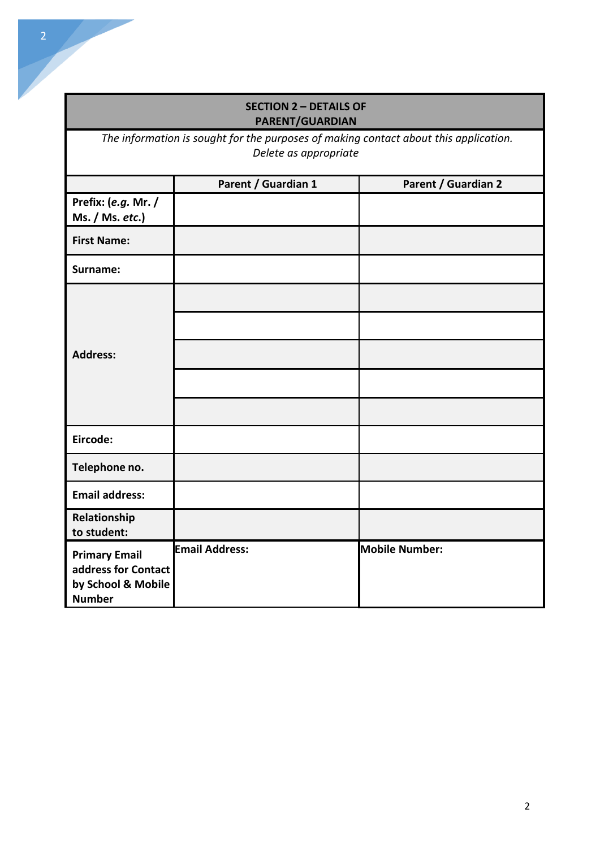# *Delete as appropriate* **Parent / Guardian 1 Parent / Guardian 2 Prefix: (***e.g.* **Mr. / Ms. / Ms.** *etc***.) First Name: Surname: Address: Eircode: Telephone no. Email address: Relationship to student: Primary Email Email Address:** Mobile Number:

#### **SECTION 2 – DETAILS OF PARENT/GUARDIAN**

*The information is sought for the purposes of making contact about this application.* 

**address for Contact by School & Mobile** 

**Number**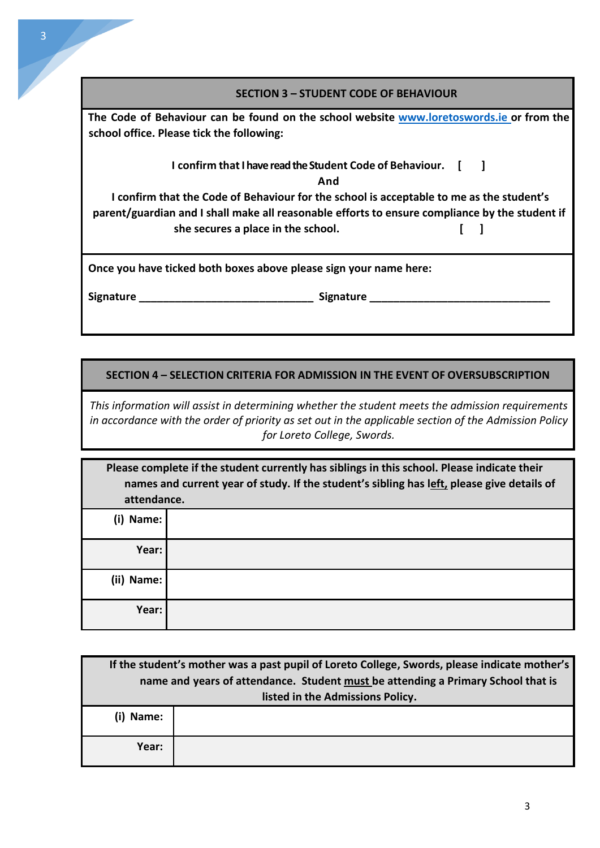#### **SECTION 3 – STUDENT CODE OF BEHAVIOUR**

**The Code of Behaviour can be found on the school website www.loretoswords.ie or from the school office. Please tick the following:**

## **I** confirm that I have read the Student Code of Behaviour. [ ]

**And**

**I confirm that the Code of Behaviour for the school is acceptable to me as the student's parent/guardian and I shall make all reasonable efforts to ensure compliance by the student if she secures a place in the school. [ ]**

**Once you have ticked both boxes above please sign your name here:**

**Signature \_\_\_\_\_\_\_\_\_\_\_\_\_\_\_\_\_\_\_\_\_\_\_\_\_\_\_\_\_ Signature \_\_\_\_\_\_\_\_\_\_\_\_\_\_\_\_\_\_\_\_\_\_\_\_\_\_\_\_\_\_**

**SECTION 4 – SELECTION CRITERIA FOR ADMISSION IN THE EVENT OF OVERSUBSCRIPTION**

*This information will assist in determining whether the student meets the admission requirements in accordance with the order of priority as set out in the applicable section of the Admission Policy for Loreto College, Swords.*

| Please complete if the student currently has siblings in this school. Please indicate their<br>names and current year of study. If the student's sibling has left, please give details of<br>attendance. |  |
|----------------------------------------------------------------------------------------------------------------------------------------------------------------------------------------------------------|--|
| Name:<br>(i)                                                                                                                                                                                             |  |
| Year:                                                                                                                                                                                                    |  |
| (ii)<br>Name:                                                                                                                                                                                            |  |
| Year:                                                                                                                                                                                                    |  |

| If the student's mother was a past pupil of Loreto College, Swords, please indicate mother's |                                  |
|----------------------------------------------------------------------------------------------|----------------------------------|
| name and years of attendance. Student must be attending a Primary School that is             |                                  |
|                                                                                              | listed in the Admissions Policy. |
| (i) Name:                                                                                    |                                  |
| Year:                                                                                        |                                  |